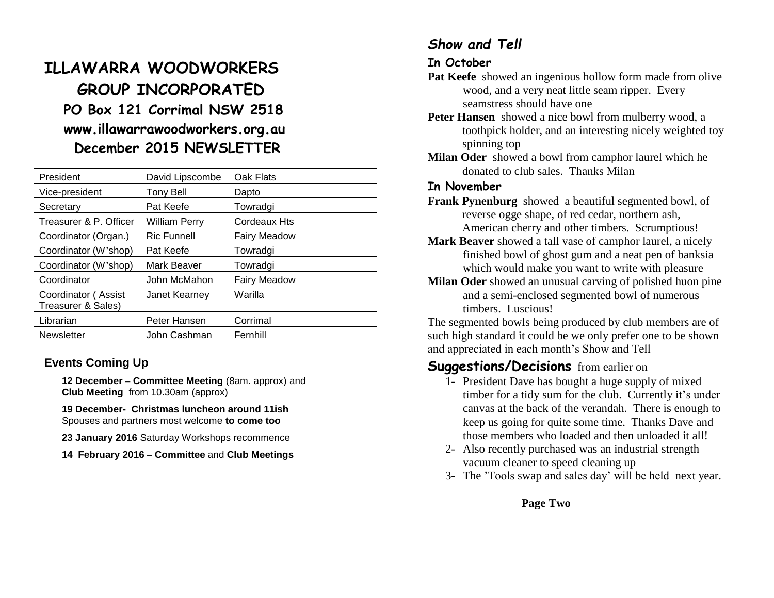# **ILLAWARRA WOODWORKERS GROUP INCORPORATED PO Box 121 Corrimal NSW 2518 www.illawarrawoodworkers.org.au December 2015 NEWSLETTER**

| President                                 | David Lipscombe      | Oak Flats           |  |
|-------------------------------------------|----------------------|---------------------|--|
| Vice-president                            | Tony Bell            | Dapto               |  |
| Secretary                                 | Pat Keefe            | Towradgi            |  |
| Treasurer & P. Officer                    | <b>William Perry</b> | Cordeaux Hts        |  |
| Coordinator (Organ.)                      | <b>Ric Funnell</b>   | <b>Fairy Meadow</b> |  |
| Coordinator (W'shop)                      | Pat Keefe            | Towradgi            |  |
| Coordinator (W'shop)                      | Mark Beaver          | Towradgi            |  |
| Coordinator                               | John McMahon         | <b>Fairy Meadow</b> |  |
| Coordinator (Assist<br>Treasurer & Sales) | Janet Kearney        | Warilla             |  |
| Librarian                                 | Peter Hansen         | Corrimal            |  |
| <b>Newsletter</b>                         | John Cashman         | Fernhill            |  |

#### **Events Coming Up**

**12 December – Committee Meeting** (8am. approx) and **Club Meeting** from 10.30am (approx)

**19 December- Christmas luncheon around 11ish**  Spouses and partners most welcome **to come too**

**23 January 2016** Saturday Workshops recommence

**14 February 2016 – Committee** and **Club Meetings**

# *Show and Tell*

#### **In October**

- **Pat Keefe** showed an ingenious hollow form made from olive wood, and a very neat little seam ripper. Every seamstress should have one
- **Peter Hansen** showed a nice bowl from mulberry wood, a toothpick holder, and an interesting nicely weighted toy spinning top
- **Milan Oder** showed a bowl from camphor laurel which he donated to club sales. Thanks Milan

#### **In November**

- **Frank Pynenburg** showed a beautiful segmented bowl, of reverse ogge shape, of red cedar, northern ash, American cherry and other timbers. Scrumptious!
- **Mark Beaver** showed a tall vase of camphor laurel, a nicely finished bowl of ghost gum and a neat pen of banksia which would make you want to write with pleasure
- **Milan Oder** showed an unusual carving of polished huon pine and a semi-enclosed segmented bowl of numerous timbers. Luscious!

The segmented bowls being produced by club members are of such high standard it could be we only prefer one to be shown and appreciated in each month's Show and Tell

# **Suggestions/Decisions** from earlier on

- 1- President Dave has bought a huge supply of mixed timber for a tidy sum for the club. Currently it's under canvas at the back of the verandah. There is enough to keep us going for quite some time. Thanks Dave and those members who loaded and then unloaded it all!
- 2- Also recently purchased was an industrial strength vacuum cleaner to speed cleaning up
- 3- The 'Tools swap and sales day' will be held next year.

#### **Page Two**